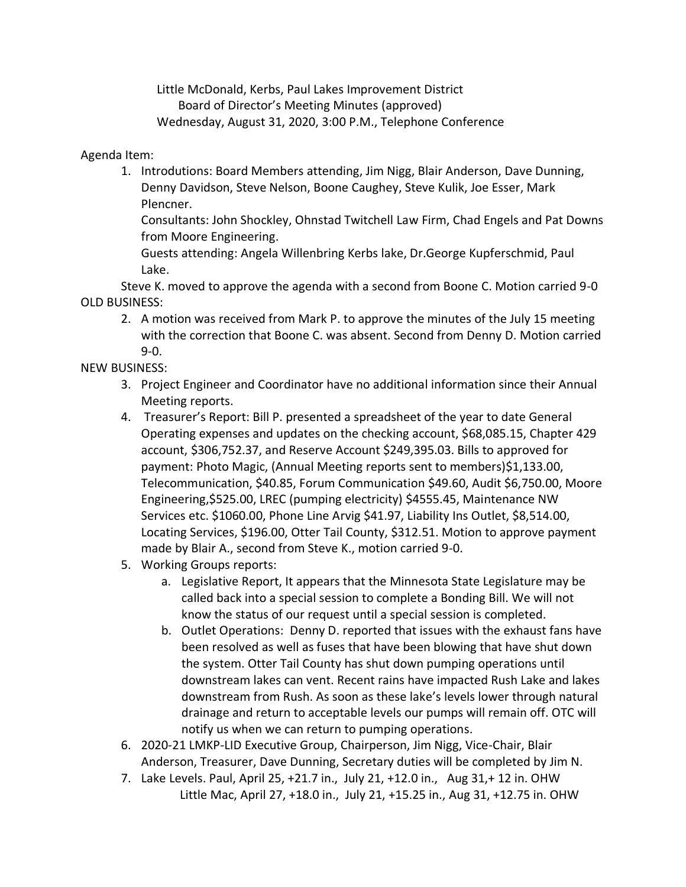Little McDonald, Kerbs, Paul Lakes Improvement District Board of Director's Meeting Minutes (approved) Wednesday, August 31, 2020, 3:00 P.M., Telephone Conference

## Agenda Item:

1. Introdutions: Board Members attending, Jim Nigg, Blair Anderson, Dave Dunning, Denny Davidson, Steve Nelson, Boone Caughey, Steve Kulik, Joe Esser, Mark Plencner.

Consultants: John Shockley, Ohnstad Twitchell Law Firm, Chad Engels and Pat Downs from Moore Engineering.

Guests attending: Angela Willenbring Kerbs lake, Dr.George Kupferschmid, Paul Lake.

Steve K. moved to approve the agenda with a second from Boone C. Motion carried 9-0 OLD BUSINESS:

2. A motion was received from Mark P. to approve the minutes of the July 15 meeting with the correction that Boone C. was absent. Second from Denny D. Motion carried 9-0.

## NEW BUSINESS:

- 3. Project Engineer and Coordinator have no additional information since their Annual Meeting reports.
- 4. Treasurer's Report: Bill P. presented a spreadsheet of the year to date General Operating expenses and updates on the checking account, \$68,085.15, Chapter 429 account, \$306,752.37, and Reserve Account \$249,395.03. Bills to approved for payment: Photo Magic, (Annual Meeting reports sent to members)\$1,133.00, Telecommunication, \$40.85, Forum Communication \$49.60, Audit \$6,750.00, Moore Engineering,\$525.00, LREC (pumping electricity) \$4555.45, Maintenance NW Services etc. \$1060.00, Phone Line Arvig \$41.97, Liability Ins Outlet, \$8,514.00, Locating Services, \$196.00, Otter Tail County, \$312.51. Motion to approve payment made by Blair A., second from Steve K., motion carried 9-0.
- 5. Working Groups reports:
	- a. Legislative Report, It appears that the Minnesota State Legislature may be called back into a special session to complete a Bonding Bill. We will not know the status of our request until a special session is completed.
	- b. Outlet Operations: Denny D. reported that issues with the exhaust fans have been resolved as well as fuses that have been blowing that have shut down the system. Otter Tail County has shut down pumping operations until downstream lakes can vent. Recent rains have impacted Rush Lake and lakes downstream from Rush. As soon as these lake's levels lower through natural drainage and return to acceptable levels our pumps will remain off. OTC will notify us when we can return to pumping operations.
- 6. 2020-21 LMKP-LID Executive Group, Chairperson, Jim Nigg, Vice-Chair, Blair Anderson, Treasurer, Dave Dunning, Secretary duties will be completed by Jim N.
- 7. Lake Levels. Paul, April 25, +21.7 in., July 21, +12.0 in., Aug 31,+ 12 in. OHW Little Mac, April 27, +18.0 in., July 21, +15.25 in., Aug 31, +12.75 in. OHW